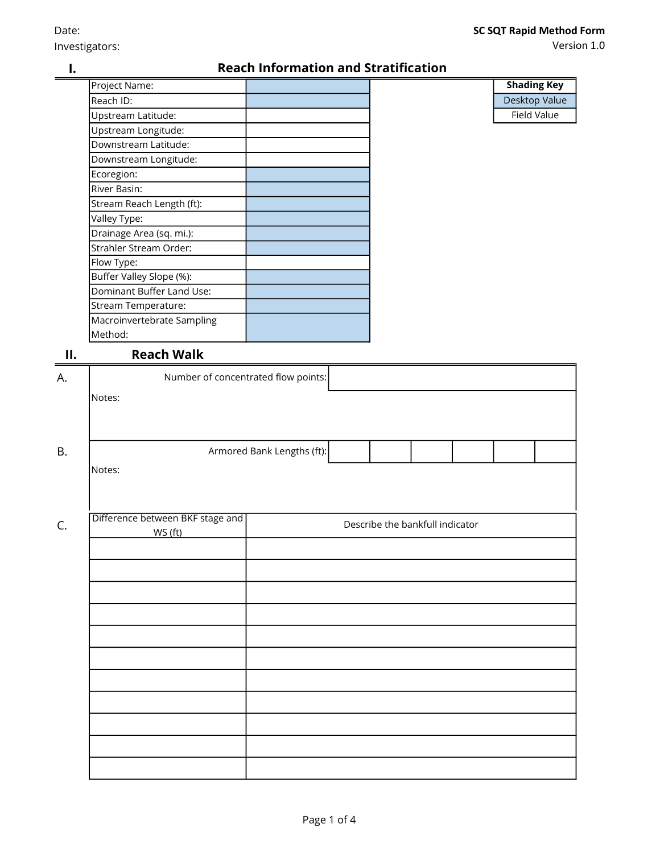Desktop Value

Field Value

Shading Key

Version 1.0

I.

### Reach Information and Stratification

| Project Name:              |  |
|----------------------------|--|
| Reach ID:                  |  |
| Upstream Latitude:         |  |
| Upstream Longitude:        |  |
| Downstream Latitude:       |  |
| Downstream Longitude:      |  |
| Ecoregion:                 |  |
| River Basin:               |  |
| Stream Reach Length (ft):  |  |
| Valley Type:               |  |
| Drainage Area (sq. mi.):   |  |
| Strahler Stream Order:     |  |
| Flow Type:                 |  |
| Buffer Valley Slope (%):   |  |
| Dominant Buffer Land Use:  |  |
| Stream Temperature:        |  |
| Macroinvertebrate Sampling |  |
| Method:                    |  |

# II. Reach Walk

| А.        | Number of concentrated flow points:                                            |                            |  |  |  |  |  |  |  |  |  |  |
|-----------|--------------------------------------------------------------------------------|----------------------------|--|--|--|--|--|--|--|--|--|--|
|           | Notes:                                                                         |                            |  |  |  |  |  |  |  |  |  |  |
|           |                                                                                |                            |  |  |  |  |  |  |  |  |  |  |
| <b>B.</b> |                                                                                | Armored Bank Lengths (ft): |  |  |  |  |  |  |  |  |  |  |
|           | Notes:                                                                         |                            |  |  |  |  |  |  |  |  |  |  |
|           |                                                                                |                            |  |  |  |  |  |  |  |  |  |  |
| C.        | Difference between BKF stage and<br>Describe the bankfull indicator<br>WS (ft) |                            |  |  |  |  |  |  |  |  |  |  |
|           |                                                                                |                            |  |  |  |  |  |  |  |  |  |  |
|           |                                                                                |                            |  |  |  |  |  |  |  |  |  |  |
|           |                                                                                |                            |  |  |  |  |  |  |  |  |  |  |
|           |                                                                                |                            |  |  |  |  |  |  |  |  |  |  |
|           |                                                                                |                            |  |  |  |  |  |  |  |  |  |  |
|           |                                                                                |                            |  |  |  |  |  |  |  |  |  |  |
|           |                                                                                |                            |  |  |  |  |  |  |  |  |  |  |
|           |                                                                                |                            |  |  |  |  |  |  |  |  |  |  |
|           |                                                                                |                            |  |  |  |  |  |  |  |  |  |  |
|           |                                                                                |                            |  |  |  |  |  |  |  |  |  |  |
|           |                                                                                |                            |  |  |  |  |  |  |  |  |  |  |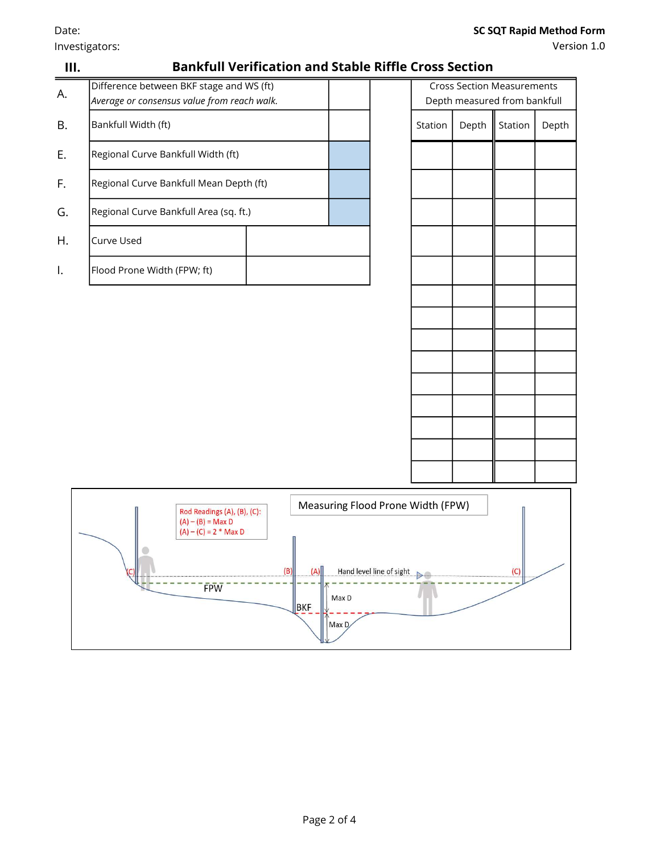Investigators:

## SC SQT Rapid Method Form

| III. |                                                                                                                                                                                                                                 | <b>Bankfull Verification and Stable Riffle Cross Section</b> |  |  |         |       |         |       |  |  |
|------|---------------------------------------------------------------------------------------------------------------------------------------------------------------------------------------------------------------------------------|--------------------------------------------------------------|--|--|---------|-------|---------|-------|--|--|
| Α.   | Difference between BKF stage and WS (ft)<br><b>Cross Section Measurements</b><br>Average or consensus value from reach walk.<br>Depth measured from bankfull                                                                    |                                                              |  |  |         |       |         |       |  |  |
| В.   | Bankfull Width (ft)                                                                                                                                                                                                             |                                                              |  |  | Station | Depth | Station | Depth |  |  |
| Ε.   | Regional Curve Bankfull Width (ft)                                                                                                                                                                                              |                                                              |  |  |         |       |         |       |  |  |
| F.   | Regional Curve Bankfull Mean Depth (ft)                                                                                                                                                                                         |                                                              |  |  |         |       |         |       |  |  |
| G.   | Regional Curve Bankfull Area (sq. ft.)                                                                                                                                                                                          |                                                              |  |  |         |       |         |       |  |  |
| Η.   | Curve Used                                                                                                                                                                                                                      |                                                              |  |  |         |       |         |       |  |  |
| Ι.   | Flood Prone Width (FPW; ft)                                                                                                                                                                                                     |                                                              |  |  |         |       |         |       |  |  |
|      |                                                                                                                                                                                                                                 |                                                              |  |  |         |       |         |       |  |  |
|      | Measuring Flood Prone Width (FPW)<br>Rod Readings (A), (B), (C):<br>$(A) - (B) = Max D$<br>$(A) - (C) = 2$ * Max D<br>п<br>(B)<br>Hand level line of sight<br>(C)<br>(A)<br>$\rightarrow$<br>FPW<br>u.<br>Max D<br>BKF<br>Max D |                                                              |  |  |         |       |         |       |  |  |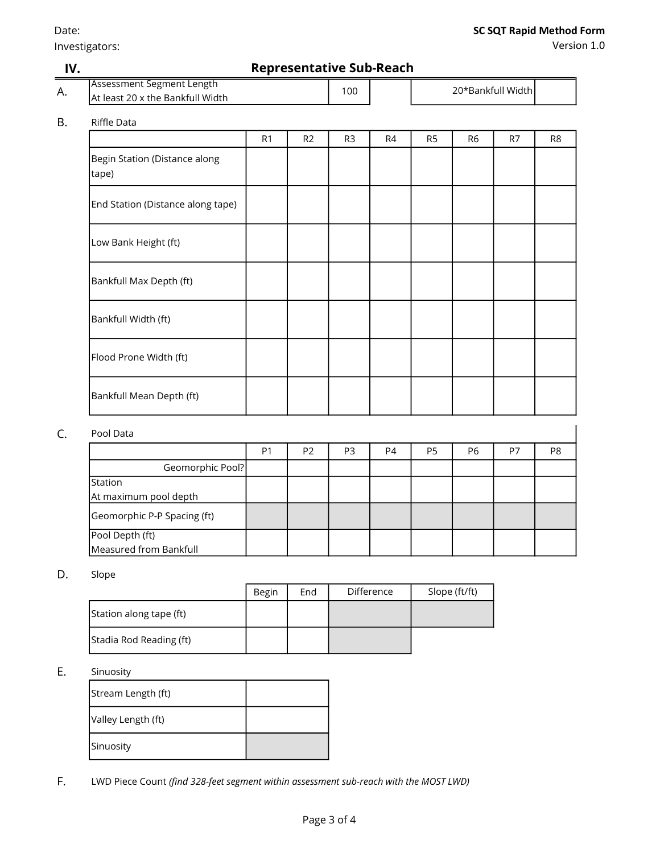Investigators:

Version 1.0

| IV. | <b>Representative Sub-Reach</b>                                      |                |                |                |    |                   |                |    |                |  |  |
|-----|----------------------------------------------------------------------|----------------|----------------|----------------|----|-------------------|----------------|----|----------------|--|--|
| А.  | <b>Assessment Segment Length</b><br>At least 20 x the Bankfull Width |                |                |                |    | 20*Bankfull Width |                |    |                |  |  |
| B.  | Riffle Data                                                          |                |                |                |    |                   |                |    |                |  |  |
|     |                                                                      | R <sub>1</sub> | R <sub>2</sub> | R <sub>3</sub> | R4 | R <sub>5</sub>    | R <sub>6</sub> | R7 | R <sub>8</sub> |  |  |
|     | Begin Station (Distance along<br>tape)                               |                |                |                |    |                   |                |    |                |  |  |
|     | End Station (Distance along tape)                                    |                |                |                |    |                   |                |    |                |  |  |
|     | Low Bank Height (ft)                                                 |                |                |                |    |                   |                |    |                |  |  |
|     | Bankfull Max Depth (ft)                                              |                |                |                |    |                   |                |    |                |  |  |
|     | Bankfull Width (ft)                                                  |                |                |                |    |                   |                |    |                |  |  |
|     | Flood Prone Width (ft)                                               |                |                |                |    |                   |                |    |                |  |  |
|     | Bankfull Mean Depth (ft)                                             |                |                |                |    |                   |                |    |                |  |  |
| C.  | Pool Data                                                            |                |                |                |    |                   |                |    |                |  |  |
|     |                                                                      | P <sub>1</sub> | P <sub>2</sub> | P <sub>3</sub> | P4 | P <sub>5</sub>    | P <sub>6</sub> | P7 | P8             |  |  |
|     | Geomorphic Pool?                                                     |                |                |                |    |                   |                |    |                |  |  |
|     | Station<br>At maximum pool depth                                     |                |                |                |    |                   |                |    |                |  |  |
|     | Geomorphic P-P Spacing (ft)                                          |                |                |                |    |                   |                |    |                |  |  |

#### D. Slope

Pool Depth (ft)

Measured from Bankfull

|                         | <b>Begin</b> | End | Difference | Slope (ft/ft) |
|-------------------------|--------------|-----|------------|---------------|
| Station along tape (ft) |              |     |            |               |
| Stadia Rod Reading (ft) |              |     |            |               |

### E. Sinuosity

| Stream Length (ft) |  |
|--------------------|--|
| Valley Length (ft) |  |
| Sinuosity          |  |

F. LWD Piece Count (find 328-feet segment within assessment sub-reach with the MOST LWD)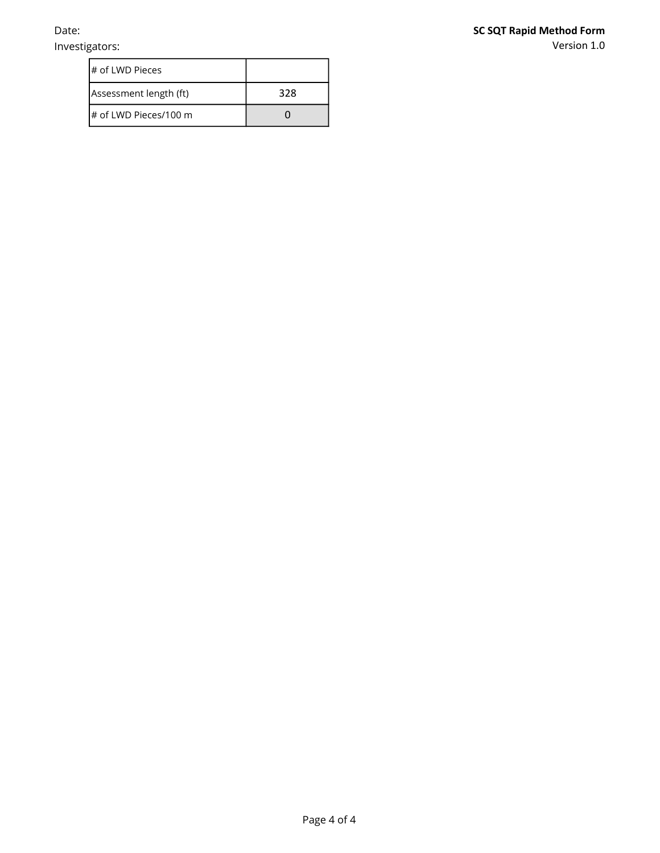Investigators:

Version 1.0

| # of LWD Pieces        |     |
|------------------------|-----|
| Assessment length (ft) | 328 |
| # of LWD Pieces/100 m  |     |